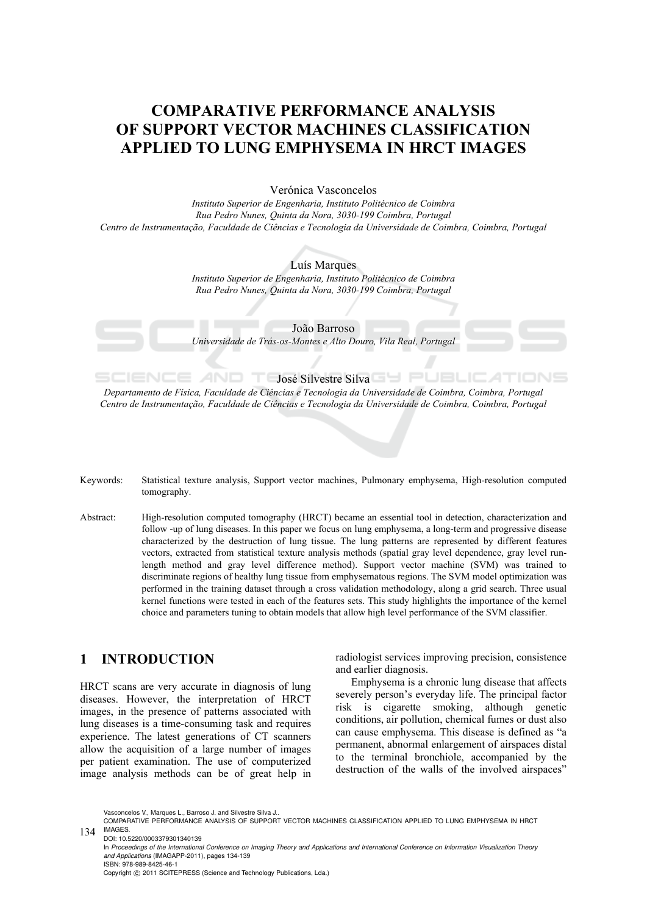# **COMPARATIVE PERFORMANCE ANALYSIS OF SUPPORT VECTOR MACHINES CLASSIFICATION APPLIED TO LUNG EMPHYSEMA IN HRCT IMAGES**

Verónica Vasconcelos

*Instituto Superior de Engenharia, Instituto Politécnico de Coimbra Rua Pedro Nunes, Quinta da Nora, 3030-199 Coimbra, Portugal Centro de Instrumentação, Faculdade de Ciências e Tecnologia da Universidade de Coimbra, Coimbra, Portugal* 

> Luís Marques *Instituto Superior de Engenharia, Instituto Politécnico de Coimbra Rua Pedro Nunes, Quinta da Nora, 3030-199 Coimbra, Portugal*

> João Barroso *Universidade de Trás-os-Montes e Alto Douro, Vila Real, Portugal*

**José Silvestre Silva** 

*Departamento de Física, Faculdade de Ciências e Tecnologia da Universidade de Coimbra, Coimbra, Portugal Centro de Instrumentação, Faculdade de Ciências e Tecnologia da Universidade de Coimbra, Coimbra, Portugal* 

- Keywords: Statistical texture analysis, Support vector machines, Pulmonary emphysema, High-resolution computed tomography.
- Abstract: High-resolution computed tomography (HRCT) became an essential tool in detection, characterization and follow -up of lung diseases. In this paper we focus on lung emphysema, a long-term and progressive disease characterized by the destruction of lung tissue. The lung patterns are represented by different features vectors, extracted from statistical texture analysis methods (spatial gray level dependence, gray level runlength method and gray level difference method). Support vector machine (SVM) was trained to discriminate regions of healthy lung tissue from emphysematous regions. The SVM model optimization was performed in the training dataset through a cross validation methodology, along a grid search. Three usual kernel functions were tested in each of the features sets. This study highlights the importance of the kernel choice and parameters tuning to obtain models that allow high level performance of the SVM classifier.

## **1 INTRODUCTION**

SCIENCE

HRCT scans are very accurate in diagnosis of lung diseases. However, the interpretation of HRCT images, in the presence of patterns associated with lung diseases is a time-consuming task and requires experience. The latest generations of CT scanners allow the acquisition of a large number of images per patient examination. The use of computerized image analysis methods can be of great help in

radiologist services improving precision, consistence and earlier diagnosis.

Emphysema is a chronic lung disease that affects severely person's everyday life. The principal factor risk is cigarette smoking, although genetic conditions, air pollution, chemical fumes or dust also can cause emphysema. This disease is defined as "a permanent, abnormal enlargement of airspaces distal to the terminal bronchiole, accompanied by the destruction of the walls of the involved airspaces"

Vasconcelos V., Marques L., Barroso, L. and Silvestre Silva J.

DOI: 10.5220/0003379301340139 In *Proceedings of the International Conference on Imaging Theory and Applications and International Conference on Information Visualization Theory and Applications* (IMAGAPP-2011), pages 134-139 ISBN: 978-989-8425-46-1 Copyright © 2011 SCITEPRESS (Science and Technology Publications, Lda.)

<sup>134</sup> **IMAGES**. COMPARATIVE PERFORMANCE ANALYSIS OF SUPPORT VECTOR MACHINES CLASSIFICATION APPLIED TO LUNG EMPHYSEMA IN HRCT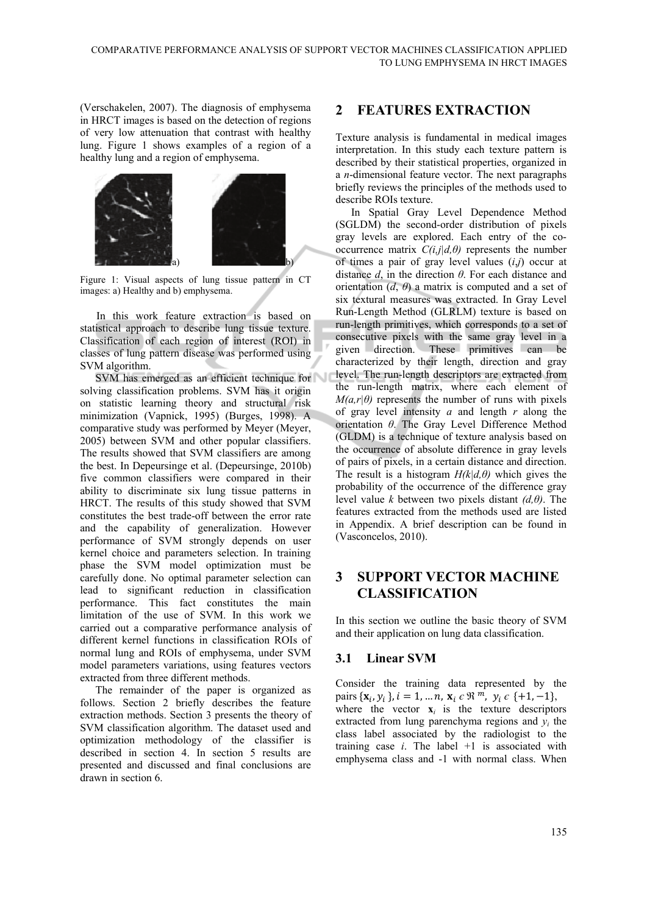(Verschakelen, 2007). The diagnosis of emphysema in HRCT images is based on the detection of regions of very low attenuation that contrast with healthy lung. Figure 1 shows examples of a region of a healthy lung and a region of emphysema.



Figure 1: Visual aspects of lung tissue pattern in CT images: a) Healthy and b) emphysema.

In this work feature extraction is based on statistical approach to describe lung tissue texture. Classification of each region of interest (ROI) in classes of lung pattern disease was performed using SVM algorithm.

SVM has emerged as an efficient technique for solving classification problems. SVM has it origin on statistic learning theory and structural risk minimization (Vapnick, 1995) (Burges, 1998). A comparative study was performed by Meyer (Meyer, 2005) between SVM and other popular classifiers. The results showed that SVM classifiers are among the best. In Depeursinge et al. (Depeursinge, 2010b) five common classifiers were compared in their ability to discriminate six lung tissue patterns in HRCT. The results of this study showed that SVM constitutes the best trade-off between the error rate and the capability of generalization. However performance of SVM strongly depends on user kernel choice and parameters selection. In training phase the SVM model optimization must be carefully done. No optimal parameter selection can lead to significant reduction in classification performance. This fact constitutes the main limitation of the use of SVM. In this work we carried out a comparative performance analysis of different kernel functions in classification ROIs of normal lung and ROIs of emphysema, under SVM model parameters variations, using features vectors extracted from three different methods.

The remainder of the paper is organized as follows. Section 2 briefly describes the feature extraction methods. Section 3 presents the theory of SVM classification algorithm. The dataset used and optimization methodology of the classifier is described in section 4. In section 5 results are presented and discussed and final conclusions are drawn in section 6.

## **2 FEATURES EXTRACTION**

Texture analysis is fundamental in medical images interpretation. In this study each texture pattern is described by their statistical properties, organized in a *n*-dimensional feature vector. The next paragraphs briefly reviews the principles of the methods used to describe ROIs texture.

In Spatial Gray Level Dependence Method (SGLDM) the second-order distribution of pixels gray levels are explored. Each entry of the cooccurrence matrix *C(i,j|d,θ)* represents the number of times a pair of gray level values (*i*,*j*) occur at distance *d*, in the direction *θ*. For each distance and orientation  $(d, \theta)$  a matrix is computed and a set of six textural measures was extracted. In Gray Level Run-Length Method (GLRLM) texture is based on run-length primitives, which corresponds to a set of consecutive pixels with the same gray level in a given direction. These primitives can be characterized by their length, direction and gray level. The run-length descriptors are extracted from the run-length matrix, where each element of  $M(a,r|\theta)$  represents the number of runs with pixels of gray level intensity *a* and length *r* along the orientation *θ*. The Gray Level Difference Method (GLDM) is a technique of texture analysis based on the occurrence of absolute difference in gray levels of pairs of pixels, in a certain distance and direction. The result is a histogram  $H(k|d, \theta)$  which gives the probability of the occurrence of the difference gray level value *k* between two pixels distant *(d,θ)*. The features extracted from the methods used are listed in Appendix. A brief description can be found in (Vasconcelos, 2010).

## **3 SUPPORT VECTOR MACHINE CLASSIFICATION**

In this section we outline the basic theory of SVM and their application on lung data classification.

## **3.1 Linear SVM**

Consider the training data represented by the pairs  $\{x_i, y_i\}$ ,  $i = 1, ..., n$ ,  $x_i \in \mathbb{R}^m$ ,  $y_i \in \{+1, -1\}$ , where the vector  $\mathbf{x}_i$  is the texture descriptors extracted from lung parenchyma regions and *yi* the class label associated by the radiologist to the training case  $i$ . The label  $+1$  is associated with emphysema class and -1 with normal class. When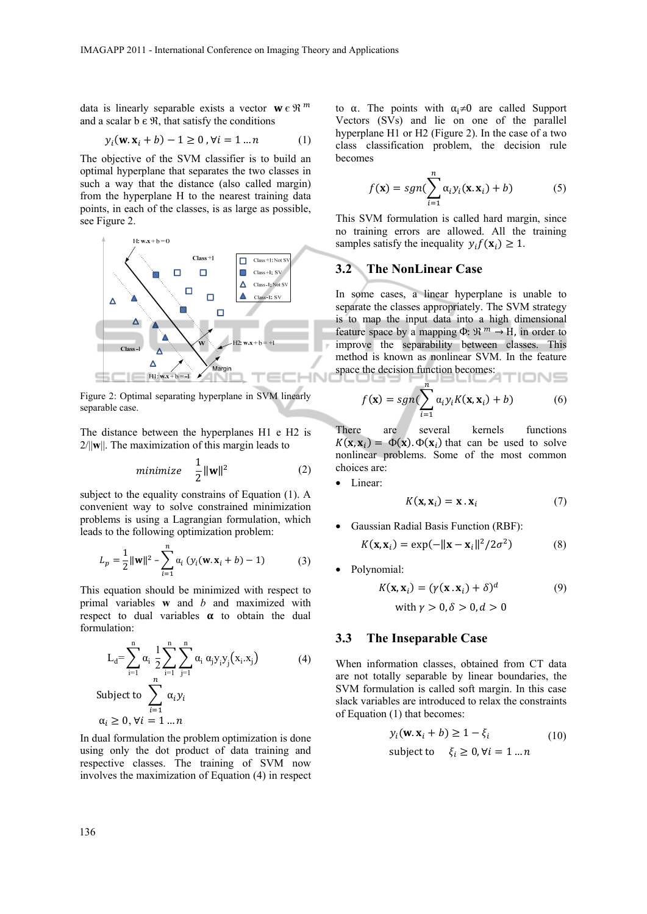data is linearly separable exists a vector  $\mathbf{w} \in \mathbb{R}^m$ and a scalar  $b \in \mathcal{R}$ , that satisfy the conditions

$$
y_i(\mathbf{w}.\mathbf{x}_i + b) - 1 \ge 0, \forall i = 1 ... n
$$
 (1)

The objective of the SVM classifier is to build an optimal hyperplane that separates the two classes in such a way that the distance (also called margin) from the hyperplane H to the nearest training data points, in each of the classes, is as large as possible, see Figure 2.



Figure 2: Optimal separating hyperplane in SVM linearly separable case.

The distance between the hyperplanes H1 e H2 is 2/||**w**||. The maximization of this margin leads to

$$
minimize \quad \frac{1}{2} ||\mathbf{w}||^2 \tag{2}
$$

subject to the equality constrains of Equation (1). A convenient way to solve constrained minimization problems is using a Lagrangian formulation, which leads to the following optimization problem:

$$
L_p = \frac{1}{2} ||\mathbf{w}||^2 - \sum_{i=1}^n \alpha_i (y_i(\mathbf{w}.\mathbf{x}_i + b) - 1)
$$
 (3)

This equation should be minimized with respect to primal variables **w** and *b* and maximized with respect to dual variables  $\alpha$  to obtain the dual formulation:

$$
L_{d} = \sum_{i=1}^{n} \alpha_{i} \frac{1}{2} \sum_{i=1}^{n} \sum_{j=1}^{n} \alpha_{i} \alpha_{j} y_{i} y_{j} (x_{i}.x_{j})
$$
(4)  
Subject to 
$$
\sum_{i=1}^{n} \alpha_{i} y_{i}
$$

$$
\alpha_{i} \ge 0, \forall i = 1 ... n
$$

In dual formulation the problem optimization is done using only the dot product of data training and respective classes. The training of SVM now involves the maximization of Equation (4) in respect

to  $\alpha$ . The points with  $\alpha_i \neq 0$  are called Support Vectors (SVs) and lie on one of the parallel hyperplane H1 or H2 (Figure 2). In the case of a two class classification problem, the decision rule becomes

$$
f(\mathbf{x}) = sgn(\sum_{i=1}^{n} \alpha_i y_i(\mathbf{x}.\mathbf{x}_i) + b)
$$
 (5)

This SVM formulation is called hard margin, since no training errors are allowed. All the training samples satisfy the inequality  $y_i f(\mathbf{x}_i) \geq 1$ .

#### **3.2 The NonLinear Case**

In some cases, a linear hyperplane is unable to separate the classes appropriately. The SVM strategy is to map the input data into a high dimensional feature space by a mapping  $\Phi$ :  $\mathfrak{R}^m \to H$ , in order to improve the separability between classes. This method is known as nonlinear SVM. In the feature space the decision function becomes:

$$
f(\mathbf{x}) = sgn(\sum_{i=1}^{n} \alpha_i y_i K(\mathbf{x}, \mathbf{x}_i) + b)
$$
 (6)

There are several kernels functions  $K(\mathbf{x}, \mathbf{x}_i) = \Phi(\mathbf{x}) \cdot \Phi(\mathbf{x}_i)$  that can be used to solve nonlinear problems. Some of the most common choices are:

• Linear:

$$
K(\mathbf{x}, \mathbf{x}_i) = \mathbf{x} \cdot \mathbf{x}_i \tag{7}
$$

• Gaussian Radial Basis Function (RBF):

$$
K(\mathbf{x}, \mathbf{x}_i) = \exp(-\|\mathbf{x} - \mathbf{x}_i\|^2 / 2\sigma^2)
$$
 (8)

• Polynomial:

$$
K(\mathbf{x}, \mathbf{x}_i) = (\gamma(\mathbf{x} \cdot \mathbf{x}_i) + \delta)^d
$$
  
with  $\gamma > 0, \delta > 0, d > 0$  (9)

#### **3.3 The Inseparable Case**

When information classes, obtained from CT data are not totally separable by linear boundaries, the SVM formulation is called soft margin. In this case slack variables are introduced to relax the constraints of Equation (1) that becomes:

$$
y_i(\mathbf{w}.\mathbf{x}_i + b) \ge 1 - \xi_i
$$
  
subject to  $\xi_i \ge 0, \forall i = 1 ... n$  (10)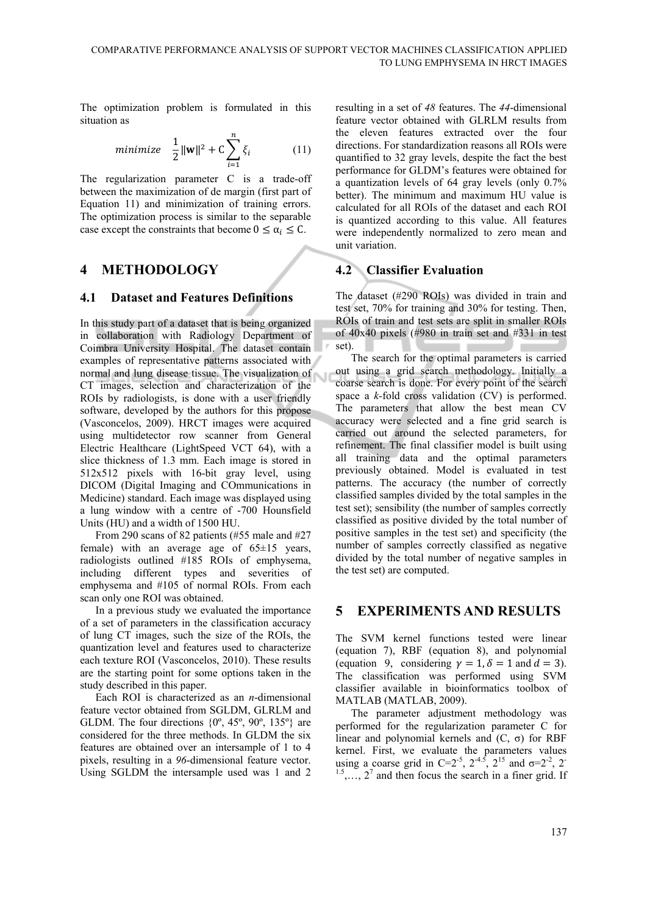The optimization problem is formulated in this situation as

$$
minimize \quad \frac{1}{2} ||\mathbf{w}||^2 + C \sum_{i=1}^{n} \xi_i \tag{11}
$$

The regularization parameter C is a trade-off between the maximization of de margin (first part of Equation 11) and minimization of training errors. The optimization process is similar to the separable case except the constraints that become  $0 \leq \alpha_i \leq C$ .

## **4 METHODOLOGY**

#### **4.1 Dataset and Features Definitions**

In this study part of a dataset that is being organized in collaboration with Radiology Department of Coimbra University Hospital. The dataset contain examples of representative patterns associated with normal and lung disease tissue. The visualization of CT images, selection and characterization of the ROIs by radiologists, is done with a user friendly software, developed by the authors for this propose (Vasconcelos, 2009). HRCT images were acquired using multidetector row scanner from General Electric Healthcare (LightSpeed VCT 64), with a slice thickness of 1.3 mm. Each image is stored in 512x512 pixels with 16-bit gray level, using DICOM (Digital Imaging and COmmunications in Medicine) standard. Each image was displayed using a lung window with a centre of -700 Hounsfield Units (HU) and a width of 1500 HU.

From 290 scans of 82 patients (#55 male and #27 female) with an average age of 65±15 years, radiologists outlined #185 ROIs of emphysema, including different types and severities of emphysema and #105 of normal ROIs. From each scan only one ROI was obtained.

In a previous study we evaluated the importance of a set of parameters in the classification accuracy of lung CT images, such the size of the ROIs, the quantization level and features used to characterize each texture ROI (Vasconcelos, 2010). These results are the starting point for some options taken in the study described in this paper.

Each ROI is characterized as an *n*-dimensional feature vector obtained from SGLDM, GLRLM and GLDM. The four directions  $\{0^\circ, 45^\circ, 90^\circ, 135^\circ\}$  are considered for the three methods. In GLDM the six features are obtained over an intersample of 1 to 4 pixels, resulting in a *96*-dimensional feature vector. Using SGLDM the intersample used was 1 and 2

resulting in a set of *48* features. The *44*-dimensional feature vector obtained with GLRLM results from the eleven features extracted over the four directions. For standardization reasons all ROIs were quantified to 32 gray levels, despite the fact the best performance for GLDM's features were obtained for a quantization levels of 64 gray levels (only 0.7% better). The minimum and maximum HU value is calculated for all ROIs of the dataset and each ROI is quantized according to this value. All features were independently normalized to zero mean and unit variation.

## **4.2 Classifier Evaluation**

The dataset (#290 ROIs) was divided in train and test set, 70% for training and 30% for testing. Then, ROIs of train and test sets are split in smaller ROIs of 40x40 pixels (#980 in train set and #331 in test set).

The search for the optimal parameters is carried out using a grid search methodology. Initially a coarse search is done. For every point of the search space a *k*-fold cross validation (CV) is performed. The parameters that allow the best mean CV accuracy were selected and a fine grid search is carried out around the selected parameters, for refinement. The final classifier model is built using all training data and the optimal parameters previously obtained. Model is evaluated in test patterns. The accuracy (the number of correctly classified samples divided by the total samples in the test set); sensibility (the number of samples correctly classified as positive divided by the total number of positive samples in the test set) and specificity (the number of samples correctly classified as negative divided by the total number of negative samples in the test set) are computed.

## **5 EXPERIMENTS AND RESULTS**

The SVM kernel functions tested were linear (equation 7), RBF (equation 8), and polynomial (equation 9, considering  $\gamma = 1$ ,  $\delta = 1$  and  $d = 3$ ). The classification was performed using SVM classifier available in bioinformatics toolbox of MATLAB (MATLAB, 2009).

The parameter adjustment methodology was performed for the regularization parameter C for linear and polynomial kernels and  $(C, \sigma)$  for RBF kernel. First, we evaluate the parameters values using a coarse grid in C=2<sup>-5</sup>, 2<sup>-4.5</sup>, 2<sup>15</sup> and  $\sigma$ =2<sup>-2</sup>, 2<sup>-1</sup>  $1.5, \ldots, 2^7$  and then focus the search in a finer grid. If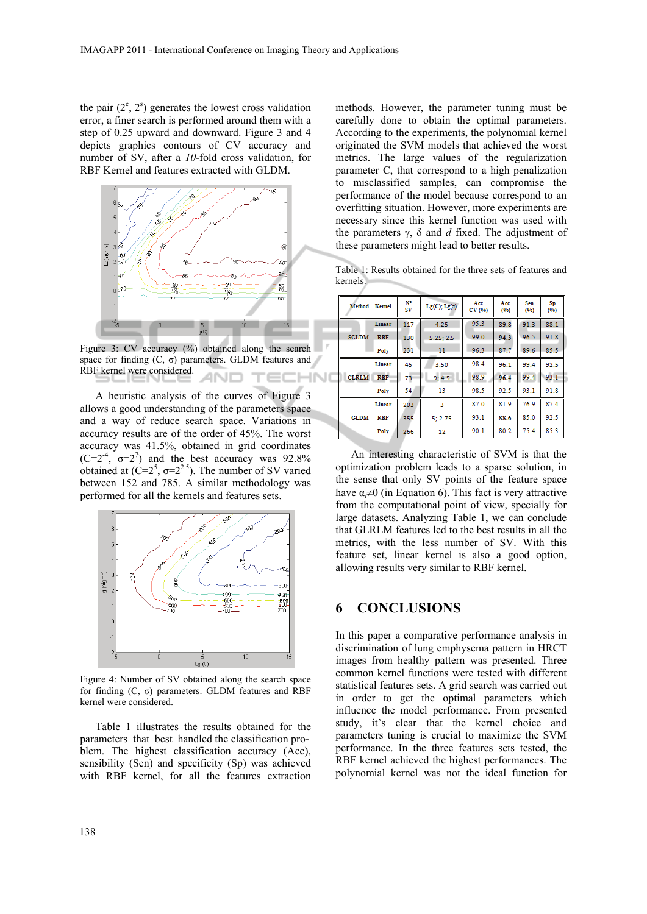the pair  $(2^c, 2^s)$  generates the lowest cross validation error, a finer search is performed around them with a step of 0.25 upward and downward. Figure 3 and 4 depicts graphics contours of CV accuracy and number of SV, after a *10*-fold cross validation, for RBF Kernel and features extracted with GLDM.



Figure 3: CV accuracy (%) obtained along the search space for finding  $(C, \sigma)$  parameters. GLDM features and RBF kernel were considered. ANIT TEC IHNO

A heuristic analysis of the curves of Figure 3 allows a good understanding of the parameters space and a way of reduce search space. Variations in accuracy results are of the order of 45%. The worst accuracy was 41.5%, obtained in grid coordinates  $(C=2^{-4}, \sigma=2^7)$  and the best accuracy was 92.8% obtained at  $(C=2^5, \sigma=2^{2.5})$ . The number of SV varied between 152 and 785. A similar methodology was performed for all the kernels and features sets.



Figure 4: Number of SV obtained along the search space for finding (C, σ) parameters. GLDM features and RBF kernel were considered.

Table 1 illustrates the results obtained for the parameters that best handled the classification problem. The highest classification accuracy (Acc), sensibility (Sen) and specificity (Sp) was achieved with RBF kernel, for all the features extraction

methods. However, the parameter tuning must be carefully done to obtain the optimal parameters. According to the experiments, the polynomial kernel originated the SVM models that achieved the worst metrics. The large values of the regularization parameter C, that correspond to a high penalization to misclassified samples, can compromise the performance of the model because correspond to an overfitting situation. However, more experiments are necessary since this kernel function was used with the parameters γ, δ and *d* fixed. The adjustment of these parameters might lead to better results.

Table 1: Results obtained for the three sets of features and kernels.

| Method       | Kernel     | N٠<br>sv | $Lg(C); Lg(\sigma)$ | Acc<br>CV (%) | Acc<br>(96) | Sen<br>(96) | Sp<br>(96) |
|--------------|------------|----------|---------------------|---------------|-------------|-------------|------------|
| <b>SGLDM</b> | Linear     | 117      | 4.25                | 95.3          | 89.8        | 91.3        | 88.1       |
|              | <b>RBF</b> | 130      | 5.25:2.5            | 99.0          | 94.3        | 96.5        | 91.8       |
|              | Poly       | 231      | $_{11}$             | 96.3          | 87.7        | 89.6        | 85.5       |
|              | Linear     | 45       | 3.50                | 98.4          | 96.1        | 99.4        | 92.5       |
| <b>GLRLM</b> | <b>RBF</b> | 73       | 9; 4.5              | 98.9          | 96.4        | 99.4        | 93.1       |
|              | Poly       | 54       | 13                  | 98.5          | 92.5        | 93.1        | 91.8       |
|              | Linear     | 203      | з                   | 87.0          | 81.9        | 76.9        | 87.4       |
| <b>GLDM</b>  | <b>RBF</b> | 355      | 5:2.75              | 93.1          | 88.6        | 85.0        | 92.5       |
|              | Poly       | 266      | 12                  | 90.1          | 80.2        | 75.4        | 85.3       |

An interesting characteristic of SVM is that the optimization problem leads to a sparse solution, in the sense that only SV points of the feature space have  $\alpha \neq 0$  (in Equation 6). This fact is very attractive from the computational point of view, specially for large datasets. Analyzing Table 1, we can conclude that GLRLM features led to the best results in all the metrics, with the less number of SV. With this feature set, linear kernel is also a good option, allowing results very similar to RBF kernel.

### **6 CONCLUSIONS**

In this paper a comparative performance analysis in discrimination of lung emphysema pattern in HRCT images from healthy pattern was presented. Three common kernel functions were tested with different statistical features sets. A grid search was carried out in order to get the optimal parameters which influence the model performance. From presented study, it's clear that the kernel choice and parameters tuning is crucial to maximize the SVM performance. In the three features sets tested, the RBF kernel achieved the highest performances. The polynomial kernel was not the ideal function for